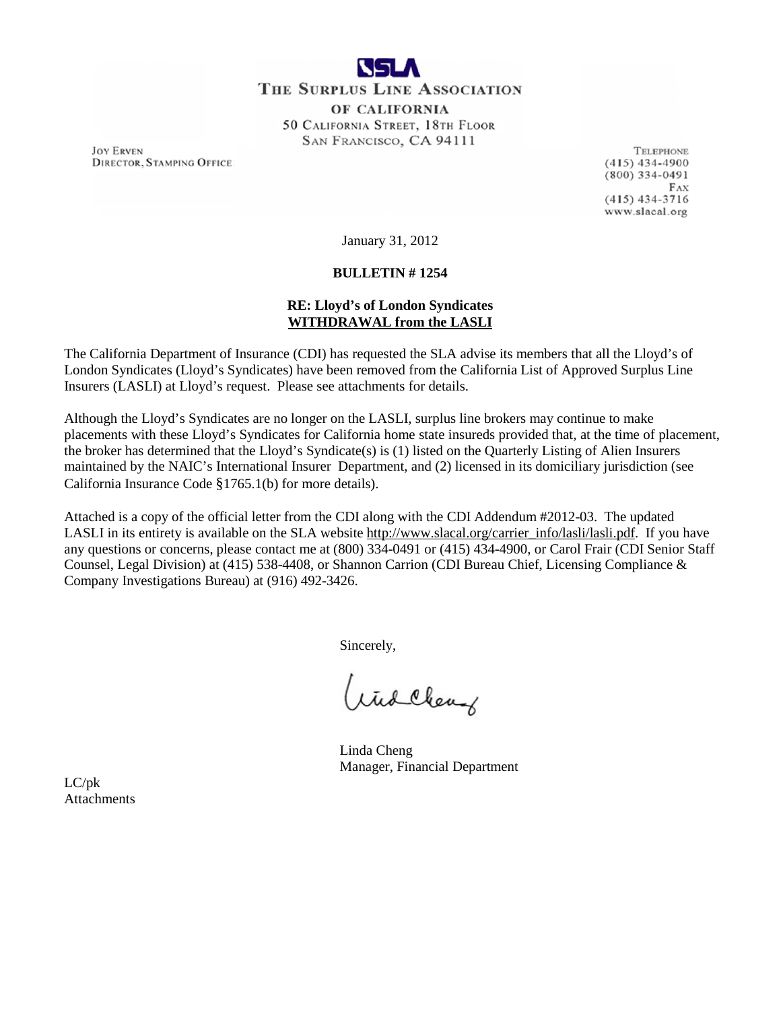

**JOY ERVEN DIRECTOR, STAMPING OFFICE** 

**TELEPHONE**  $(415)$  434-4900  $(800)$  334-0491 FAX  $(415)$  434-3716 www.slacal.org

January 31, 2012

# **BULLETIN # 1254**

# **RE: Lloyd's of London Syndicates WITHDRAWAL from the LASLI**

The California Department of Insurance (CDI) has requested the SLA advise its members that all the Lloyd's of London Syndicates (Lloyd's Syndicates) have been removed from the California List of Approved Surplus Line Insurers (LASLI) at Lloyd's request. Please see attachments for details.

Although the Lloyd's Syndicates are no longer on the LASLI, surplus line brokers may continue to make placements with these Lloyd's Syndicates for California home state insureds provided that, at the time of placement, the broker has determined that the Lloyd's Syndicate(s) is (1) listed on the Quarterly Listing of Alien Insurers maintained by the NAIC's International Insurer Department, and (2) licensed in its domiciliary jurisdiction (see California Insurance Code §1765.1(b) for more details).

Attached is a copy of the official letter from the CDI along with the CDI Addendum #2012-03. The updated LASLI in its entirety is available on the SLA website [http://www.slacal.org/carrier\\_info/lasli/lasli.pdf.](http://www.slacal.org/carrier_info/lasli/lasli.pdf) If you have any questions or concerns, please contact me at (800) 334-0491 or (415) 434-4900, or Carol Frair (CDI Senior Staff Counsel, Legal Division) at (415) 538-4408, or Shannon Carrion (CDI Bureau Chief, Licensing Compliance & Company Investigations Bureau) at (916) 492-3426.

Sincerely,

Widchery

Linda Cheng Manager, Financial Department

LC/pk Attachments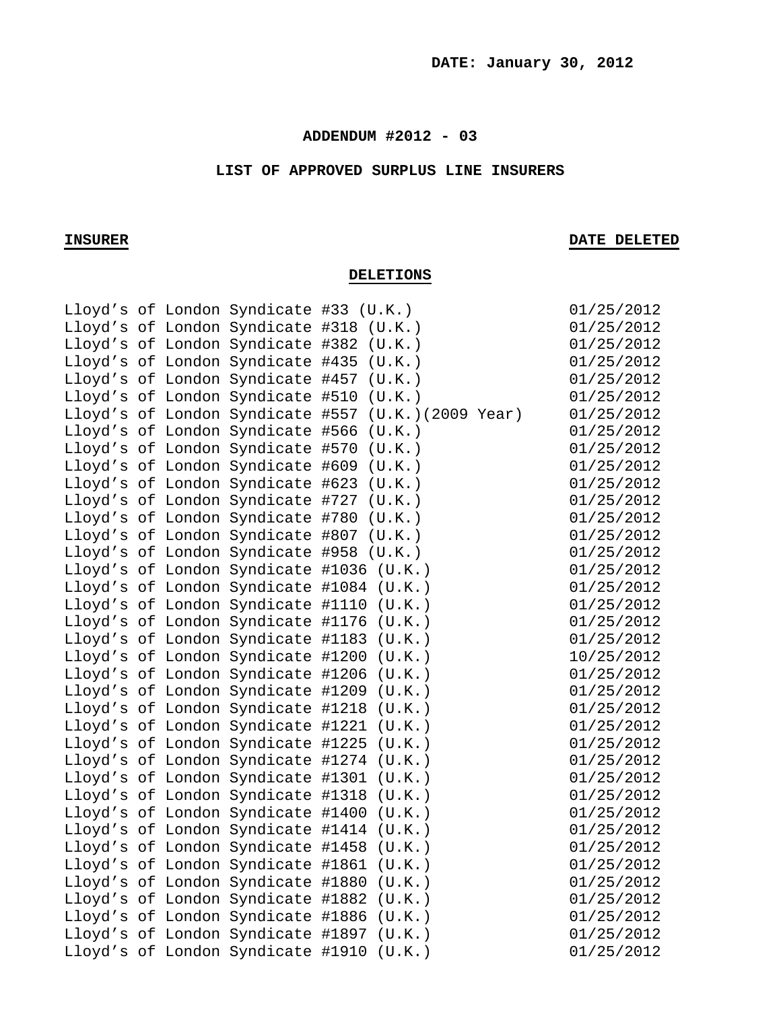# **ADDENDUM #2012 - 03**

## **LIST OF APPROVED SURPLUS LINE INSURERS**

# **INSURER DATE DELETED**

# **DELETIONS**

|  |                                  | Lloyd's of London Syndicate #33 (U.K.)             | 01/25/2012 |
|--|----------------------------------|----------------------------------------------------|------------|
|  |                                  | Lloyd's of London Syndicate #318 (U.K.)            | 01/25/2012 |
|  |                                  | Lloyd's of London Syndicate #382 (U.K.)            | 01/25/2012 |
|  |                                  | Lloyd's of London Syndicate #435 (U.K.)            | 01/25/2012 |
|  |                                  | Lloyd's of London Syndicate #457 (U.K.)            | 01/25/2012 |
|  |                                  | Lloyd's of London Syndicate #510 (U.K.)            | 01/25/2012 |
|  |                                  | Lloyd's of London Syndicate #557 (U.K.)(2009 Year) | 01/25/2012 |
|  |                                  | Lloyd's of London Syndicate #566 (U.K.)            | 01/25/2012 |
|  |                                  | Lloyd's of London Syndicate #570 (U.K.)            | 01/25/2012 |
|  |                                  | Lloyd's of London Syndicate #609 (U.K.)            | 01/25/2012 |
|  |                                  | Lloyd's of London Syndicate #623 (U.K.)            | 01/25/2012 |
|  |                                  | Lloyd's of London Syndicate #727 (U.K.)            | 01/25/2012 |
|  | Lloyd's of London Syndicate #780 | (U.K.)                                             | 01/25/2012 |
|  |                                  | Lloyd's of London Syndicate #807 (U.K.)            | 01/25/2012 |
|  |                                  | Lloyd's of London Syndicate #958 (U.K.)            | 01/25/2012 |
|  |                                  | Lloyd's of London Syndicate #1036 (U.K.)           | 01/25/2012 |
|  |                                  | Lloyd's of London Syndicate #1084 (U.K.)           | 01/25/2012 |
|  |                                  | Lloyd's of London Syndicate #1110 (U.K.)           | 01/25/2012 |
|  |                                  | Lloyd's of London Syndicate #1176 (U.K.)           | 01/25/2012 |
|  |                                  | Lloyd's of London Syndicate #1183 (U.K.)           | 01/25/2012 |
|  |                                  | Lloyd's of London Syndicate #1200 (U.K.)           | 10/25/2012 |
|  |                                  | Lloyd's of London Syndicate #1206 (U.K.)           | 01/25/2012 |
|  |                                  | Lloyd's of London Syndicate #1209 (U.K.)           | 01/25/2012 |
|  |                                  | Lloyd's of London Syndicate #1218 (U.K.)           | 01/25/2012 |
|  |                                  | Lloyd's of London Syndicate #1221 (U.K.)           | 01/25/2012 |
|  |                                  | Lloyd's of London Syndicate #1225 (U.K.)           | 01/25/2012 |
|  |                                  | Lloyd's of London Syndicate #1274 (U.K.)           | 01/25/2012 |
|  |                                  | Lloyd's of London Syndicate #1301 (U.K.)           | 01/25/2012 |
|  |                                  | Lloyd's of London Syndicate #1318 (U.K.)           | 01/25/2012 |
|  |                                  | Lloyd's of London Syndicate #1400 (U.K.)           | 01/25/2012 |
|  |                                  | Lloyd's of London Syndicate #1414 (U.K.)           | 01/25/2012 |
|  |                                  | Lloyd's of London Syndicate #1458 (U.K.)           | 01/25/2012 |
|  |                                  | Lloyd's of London Syndicate #1861 (U.K.)           | 01/25/2012 |
|  |                                  | Lloyd's of London Syndicate #1880 (U.K.)           | 01/25/2012 |
|  |                                  | Lloyd's of London Syndicate #1882 (U.K.)           | 01/25/2012 |
|  |                                  | Lloyd's of London Syndicate #1886 (U.K.)           | 01/25/2012 |
|  |                                  | Lloyd's of London Syndicate #1897 (U.K.)           | 01/25/2012 |
|  |                                  | Lloyd's of London Syndicate #1910 (U.K.)           | 01/25/2012 |
|  |                                  |                                                    |            |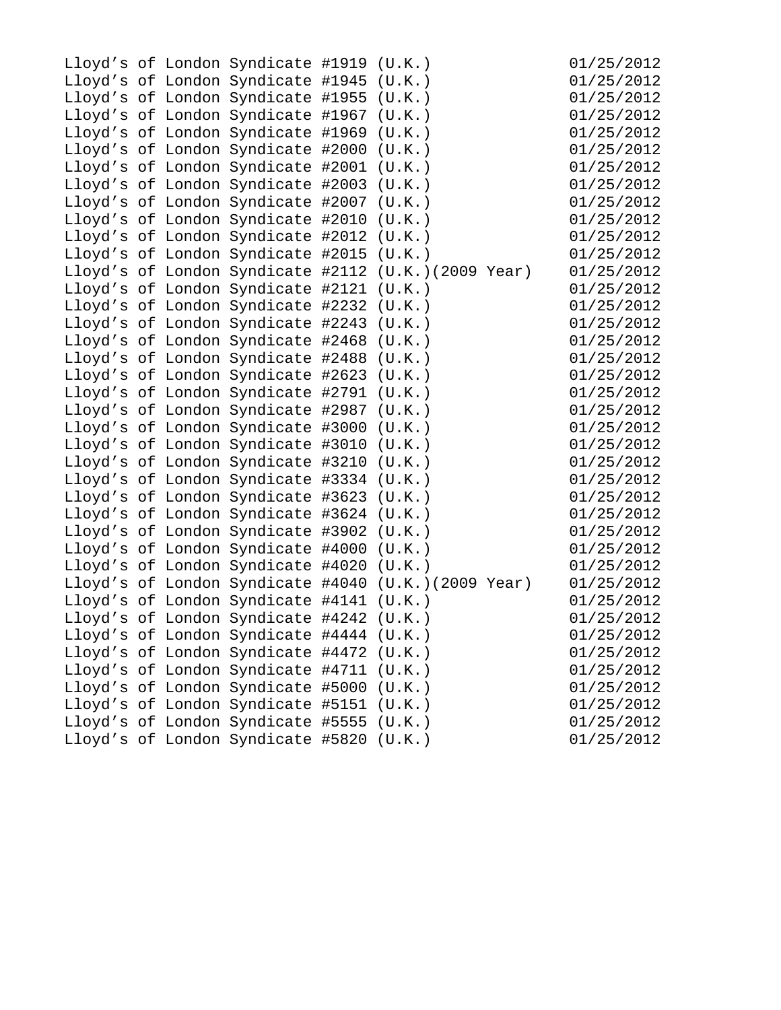|  | Lloyd's of London Syndicate #1919 (U.K.) |                                                     | 01/25/2012 |
|--|------------------------------------------|-----------------------------------------------------|------------|
|  | Lloyd's of London Syndicate #1945 (U.K.) |                                                     | 01/25/2012 |
|  | Lloyd's of London Syndicate #1955 (U.K.) |                                                     | 01/25/2012 |
|  | Lloyd's of London Syndicate #1967 (U.K.) |                                                     | 01/25/2012 |
|  | Lloyd's of London Syndicate #1969        | (U.K.)                                              | 01/25/2012 |
|  | Lloyd's of London Syndicate #2000        | (U.K.)                                              | 01/25/2012 |
|  | Lloyd's of London Syndicate #2001 (U.K.) |                                                     | 01/25/2012 |
|  | Lloyd's of London Syndicate #2003 (U.K.) |                                                     | 01/25/2012 |
|  | Lloyd's of London Syndicate #2007 (U.K.) |                                                     | 01/25/2012 |
|  | Lloyd's of London Syndicate #2010 (U.K.) |                                                     | 01/25/2012 |
|  | Lloyd's of London Syndicate #2012 (U.K.) |                                                     | 01/25/2012 |
|  | Lloyd's of London Syndicate #2015 (U.K.) |                                                     | 01/25/2012 |
|  |                                          | Lloyd's of London Syndicate #2112 (U.K.)(2009 Year) | 01/25/2012 |
|  | Lloyd's of London Syndicate #2121 (U.K.) |                                                     | 01/25/2012 |
|  | Lloyd's of London Syndicate #2232 (U.K.) |                                                     | 01/25/2012 |
|  | Lloyd's of London Syndicate #2243 (U.K.) |                                                     | 01/25/2012 |
|  | Lloyd's of London Syndicate #2468 (U.K.) |                                                     | 01/25/2012 |
|  | Lloyd's of London Syndicate #2488 (U.K.) |                                                     | 01/25/2012 |
|  | Lloyd's of London Syndicate #2623 (U.K.) |                                                     | 01/25/2012 |
|  | Lloyd's of London Syndicate #2791 (U.K.) |                                                     | 01/25/2012 |
|  | Lloyd's of London Syndicate #2987 (U.K.) |                                                     | 01/25/2012 |
|  | Lloyd's of London Syndicate #3000 (U.K.) |                                                     | 01/25/2012 |
|  | Lloyd's of London Syndicate #3010 (U.K.) |                                                     | 01/25/2012 |
|  | Lloyd's of London Syndicate #3210 (U.K.) |                                                     | 01/25/2012 |
|  | Lloyd's of London Syndicate #3334 (U.K.) |                                                     | 01/25/2012 |
|  | Lloyd's of London Syndicate #3623 (U.K.) |                                                     | 01/25/2012 |
|  | Lloyd's of London Syndicate #3624        | (U.K.)                                              | 01/25/2012 |
|  | Lloyd's of London Syndicate #3902        | (U.K.)                                              | 01/25/2012 |
|  | Lloyd's of London Syndicate #4000 (U.K.) |                                                     | 01/25/2012 |
|  | Lloyd's of London Syndicate #4020 (U.K.) |                                                     | 01/25/2012 |
|  |                                          | Lloyd's of London Syndicate #4040 (U.K.)(2009 Year) | 01/25/2012 |
|  | Lloyd's of London Syndicate #4141 (U.K.) |                                                     | 01/25/2012 |
|  | Lloyd's of London Syndicate #4242        | (U.K.)                                              | 01/25/2012 |
|  | Lloyd's of London Syndicate #4444        | (U.K.)                                              | 01/25/2012 |
|  | Lloyd's of London Syndicate #4472        | (U.K.)                                              | 01/25/2012 |
|  | Lloyd's of London Syndicate #4711        | (U.K.)                                              | 01/25/2012 |
|  | Lloyd's of London Syndicate #5000        | (U.K.)                                              | 01/25/2012 |
|  | Lloyd's of London Syndicate #5151        | (U.K.)                                              | 01/25/2012 |
|  | Lloyd's of London Syndicate #5555        | (U.K.)                                              | 01/25/2012 |
|  | Lloyd's of London Syndicate #5820        | (U.K.)                                              | 01/25/2012 |